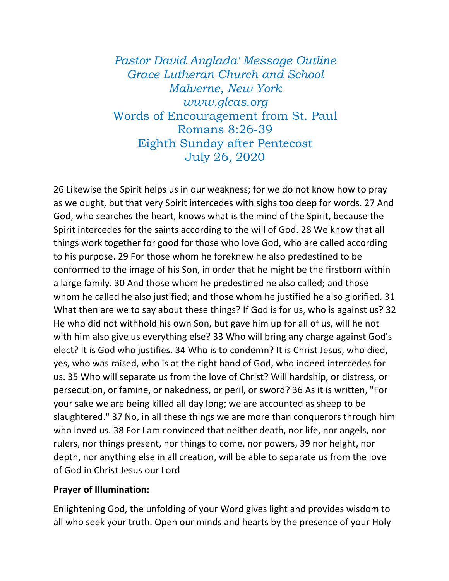*Pastor David Anglada' Message Outline Grace Lutheran Church and School Malverne, New York www.glcas.org* Words of Encouragement from St. Paul Romans 8:26-39 Eighth Sunday after Pentecost July 26, 2020

26 Likewise the Spirit helps us in our weakness; for we do not know how to pray as we ought, but that very Spirit intercedes with sighs too deep for words. 27 And God, who searches the heart, knows what is the mind of the Spirit, because the Spirit intercedes for the saints according to the will of God. 28 We know that all things work together for good for those who love God, who are called according to his purpose. 29 For those whom he foreknew he also predestined to be conformed to the image of his Son, in order that he might be the firstborn within a large family. 30 And those whom he predestined he also called; and those whom he called he also justified; and those whom he justified he also glorified. 31 What then are we to say about these things? If God is for us, who is against us? 32 He who did not withhold his own Son, but gave him up for all of us, will he not with him also give us everything else? 33 Who will bring any charge against God's elect? It is God who justifies. 34 Who is to condemn? It is Christ Jesus, who died, yes, who was raised, who is at the right hand of God, who indeed intercedes for us. 35 Who will separate us from the love of Christ? Will hardship, or distress, or persecution, or famine, or nakedness, or peril, or sword? 36 As it is written, "For your sake we are being killed all day long; we are accounted as sheep to be slaughtered." 37 No, in all these things we are more than conquerors through him who loved us. 38 For I am convinced that neither death, nor life, nor angels, nor rulers, nor things present, nor things to come, nor powers, 39 nor height, nor depth, nor anything else in all creation, will be able to separate us from the love of God in Christ Jesus our Lord

## **Prayer of Illumination:**

Enlightening God, the unfolding of your Word gives light and provides wisdom to all who seek your truth. Open our minds and hearts by the presence of your Holy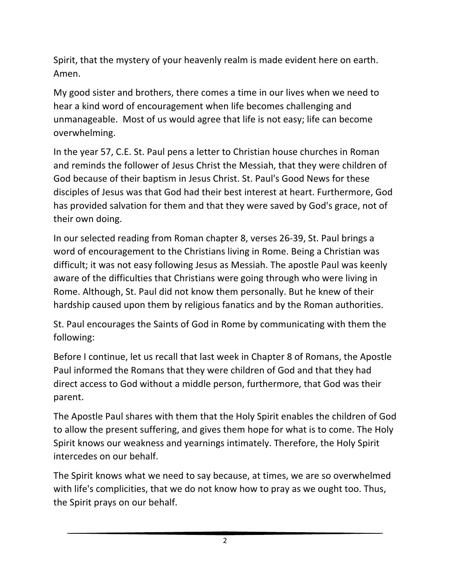Spirit, that the mystery of your heavenly realm is made evident here on earth. Amen.

My good sister and brothers, there comes a time in our lives when we need to hear a kind word of encouragement when life becomes challenging and unmanageable. Most of us would agree that life is not easy; life can become overwhelming.

In the year 57, C.E. St. Paul pens a letter to Christian house churches in Roman and reminds the follower of Jesus Christ the Messiah, that they were children of God because of their baptism in Jesus Christ. St. Paul's Good News for these disciples of Jesus was that God had their best interest at heart. Furthermore, God has provided salvation for them and that they were saved by God's grace, not of their own doing.

In our selected reading from Roman chapter 8, verses 26-39, St. Paul brings a word of encouragement to the Christians living in Rome. Being a Christian was difficult; it was not easy following Jesus as Messiah. The apostle Paul was keenly aware of the difficulties that Christians were going through who were living in Rome. Although, St. Paul did not know them personally. But he knew of their hardship caused upon them by religious fanatics and by the Roman authorities.

St. Paul encourages the Saints of God in Rome by communicating with them the following:

Before I continue, let us recall that last week in Chapter 8 of Romans, the Apostle Paul informed the Romans that they were children of God and that they had direct access to God without a middle person, furthermore, that God was their parent.

The Apostle Paul shares with them that the Holy Spirit enables the children of God to allow the present suffering, and gives them hope for what is to come. The Holy Spirit knows our weakness and yearnings intimately. Therefore, the Holy Spirit intercedes on our behalf.

The Spirit knows what we need to say because, at times, we are so overwhelmed with life's complicities, that we do not know how to pray as we ought too. Thus, the Spirit prays on our behalf.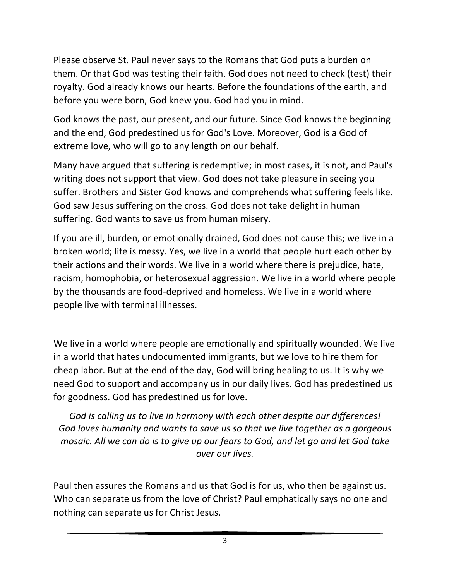Please observe St. Paul never says to the Romans that God puts a burden on them. Or that God was testing their faith. God does not need to check (test) their royalty. God already knows our hearts. Before the foundations of the earth, and before you were born, God knew you. God had you in mind.

God knows the past, our present, and our future. Since God knows the beginning and the end, God predestined us for God's Love. Moreover, God is a God of extreme love, who will go to any length on our behalf.

Many have argued that suffering is redemptive; in most cases, it is not, and Paul's writing does not support that view. God does not take pleasure in seeing you suffer. Brothers and Sister God knows and comprehends what suffering feels like. God saw Jesus suffering on the cross. God does not take delight in human suffering. God wants to save us from human misery.

If you are ill, burden, or emotionally drained, God does not cause this; we live in a broken world; life is messy. Yes, we live in a world that people hurt each other by their actions and their words. We live in a world where there is prejudice, hate, racism, homophobia, or heterosexual aggression. We live in a world where people by the thousands are food-deprived and homeless. We live in a world where people live with terminal illnesses.

We live in a world where people are emotionally and spiritually wounded. We live in a world that hates undocumented immigrants, but we love to hire them for cheap labor. But at the end of the day, God will bring healing to us. It is why we need God to support and accompany us in our daily lives. God has predestined us for goodness. God has predestined us for love.

*God is calling us to live in harmony with each other despite our differences! God loves humanity and wants to save us so that we live together as a gorgeous mosaic. All we can do is to give up our fears to God, and let go and let God take over our lives.*

Paul then assures the Romans and us that God is for us, who then be against us. Who can separate us from the love of Christ? Paul emphatically says no one and nothing can separate us for Christ Jesus.